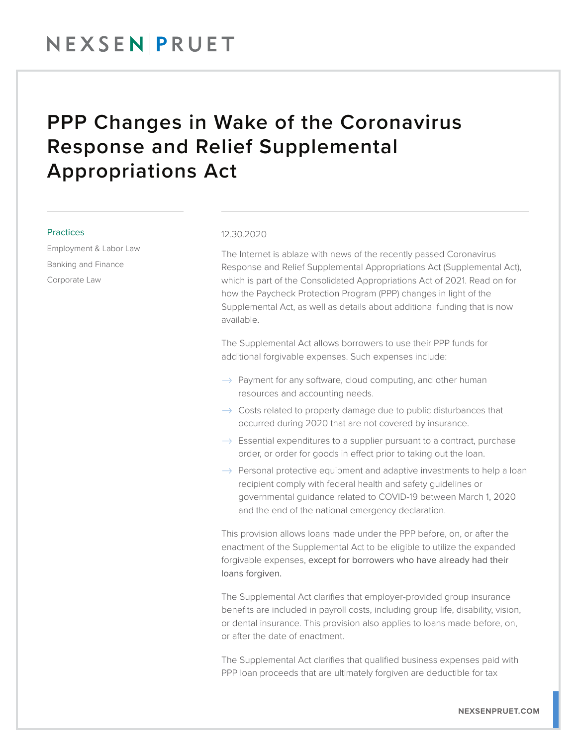## NEXSENPRUET

## PPP Changes in Wake of the Coronavirus Response and Relief Supplemental Appropriations Act

#### **Practices**

Employment & Labor Law Banking and Finance Corporate Law

#### 12.30.2020

The Internet is ablaze with news of the recently passed Coronavirus Response and Relief Supplemental Appropriations Act (Supplemental Act), which is part of the Consolidated Appropriations Act of 2021. Read on for how the Paycheck Protection Program (PPP) changes in light of the Supplemental Act, as well as details about additional funding that is now available.

The Supplemental Act allows borrowers to use their PPP funds for additional forgivable expenses. Such expenses include:

- $\rightarrow$  Payment for any software, cloud computing, and other human resources and accounting needs.
- $\rightarrow$  Costs related to property damage due to public disturbances that occurred during 2020 that are not covered by insurance.
- $\rightarrow$  Essential expenditures to a supplier pursuant to a contract, purchase order, or order for goods in effect prior to taking out the loan.
- $\rightarrow$  Personal protective equipment and adaptive investments to help a loan recipient comply with federal health and safety guidelines or governmental guidance related to COVID-19 between March 1, 2020 and the end of the national emergency declaration.

This provision allows loans made under the PPP before, on, or after the enactment of the Supplemental Act to be eligible to utilize the expanded forgivable expenses, except for borrowers who have already had their loans forgiven.

The Supplemental Act clarifies that employer-provided group insurance benefits are included in payroll costs, including group life, disability, vision, or dental insurance. This provision also applies to loans made before, on, or after the date of enactment.

The Supplemental Act clarifies that qualified business expenses paid with PPP loan proceeds that are ultimately forgiven are deductible for tax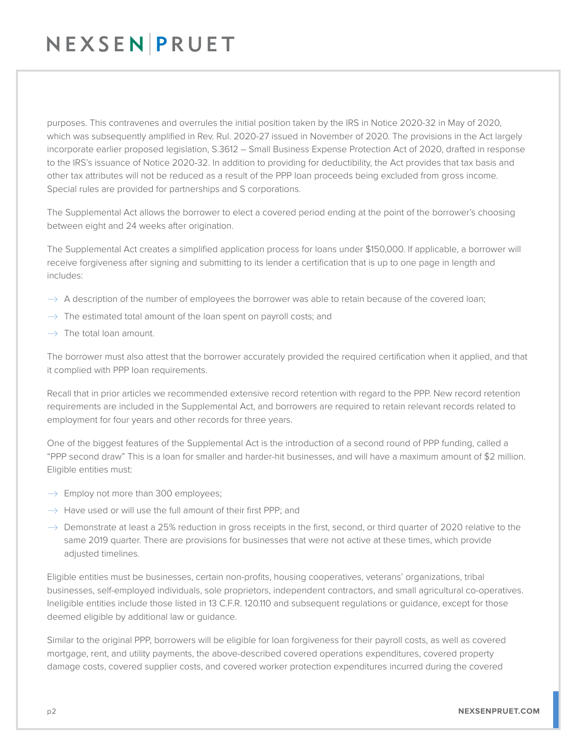# NEXSENPRUET

purposes. This contravenes and overrules the initial position taken by the IRS in Notice 2020-32 in May of 2020, which was subsequently amplified in Rev. Rul. 2020-27 issued in November of 2020. The provisions in the Act largely incorporate earlier proposed legislation, S.3612 – Small Business Expense Protection Act of 2020, drafted in response to the IRS's issuance of Notice 2020-32. In addition to providing for deductibility, the Act provides that tax basis and other tax attributes will not be reduced as a result of the PPP loan proceeds being excluded from gross income. Special rules are provided for partnerships and S corporations.

The Supplemental Act allows the borrower to elect a covered period ending at the point of the borrower's choosing between eight and 24 weeks after origination.

The Supplemental Act creates a simplified application process for loans under \$150,000. If applicable, a borrower will receive forgiveness after signing and submitting to its lender a certification that is up to one page in length and includes:

- $\rightarrow$  A description of the number of employees the borrower was able to retain because of the covered loan;
- $\rightarrow$  The estimated total amount of the loan spent on payroll costs; and
- $\rightarrow$  The total loan amount.

The borrower must also attest that the borrower accurately provided the required certification when it applied, and that it complied with PPP loan requirements.

Recall that in prior articles we recommended extensive record retention with regard to the PPP. New record retention requirements are included in the Supplemental Act, and borrowers are required to retain relevant records related to employment for four years and other records for three years.

One of the biggest features of the Supplemental Act is the introduction of a second round of PPP funding, called a "PPP second draw" This is a loan for smaller and harder-hit businesses, and will have a maximum amount of \$2 million. Eligible entities must:

- $\rightarrow$  Employ not more than 300 employees;
- $\rightarrow$  Have used or will use the full amount of their first PPP; and
- $\rightarrow$  Demonstrate at least a 25% reduction in gross receipts in the first, second, or third quarter of 2020 relative to the same 2019 quarter. There are provisions for businesses that were not active at these times, which provide adjusted timelines.

Eligible entities must be businesses, certain non-profits, housing cooperatives, veterans' organizations, tribal businesses, self-employed individuals, sole proprietors, independent contractors, and small agricultural co-operatives. Ineligible entities include those listed in 13 C.F.R. 120.110 and subsequent regulations or guidance, except for those deemed eligible by additional law or guidance.

Similar to the original PPP, borrowers will be eligible for loan forgiveness for their payroll costs, as well as covered mortgage, rent, and utility payments, the above-described covered operations expenditures, covered property damage costs, covered supplier costs, and covered worker protection expenditures incurred during the covered